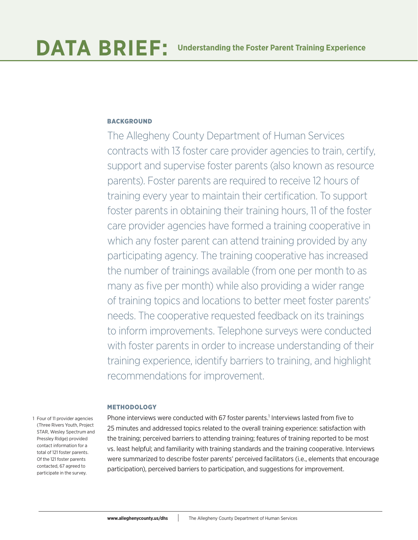# **BACKGROUND**

The Allegheny County Department of Human Services contracts with 13 foster care provider agencies to train, certify, support and supervise foster parents (also known as resource parents). Foster parents are required to receive 12 hours of training every year to maintain their certification. To support foster parents in obtaining their training hours, 11 of the foster care provider agencies have formed a training cooperative in which any foster parent can attend training provided by any participating agency. The training cooperative has increased the number of trainings available (from one per month to as many as five per month) while also providing a wider range of training topics and locations to better meet foster parents' needs. The cooperative requested feedback on its trainings to inform improvements. Telephone surveys were conducted with foster parents in order to increase understanding of their training experience, identify barriers to training, and highlight recommendations for improvement.

# METHODOLOGY

1 Four of 11 provider agencies (Three Rivers Youth, Project STAR, Wesley Spectrum and Pressley Ridge) provided contact information for a total of 121 foster parents. Of the 121 foster parents contacted, 67 agreed to participate in the survey.

Phone interviews were conducted with 67 foster parents.<sup>1</sup> Interviews lasted from five to 25 minutes and addressed topics related to the overall training experience: satisfaction with the training; perceived barriers to attending training; features of training reported to be most vs. least helpful; and familiarity with training standards and the training cooperative. Interviews were summarized to describe foster parents' perceived facilitators (i.e., elements that encourage participation), perceived barriers to participation, and suggestions for improvement.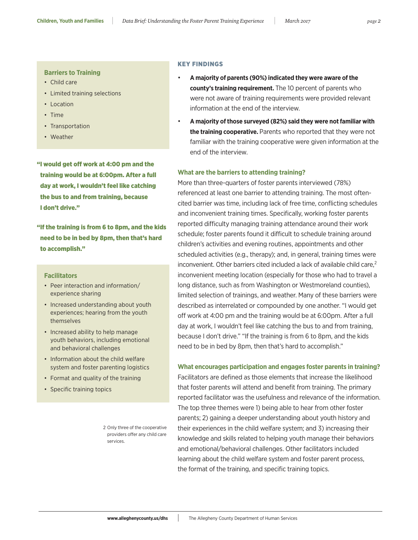#### **Barriers to Training**

- Child care
- Limited training selections
- Location
- Time
- Transportation
- Weather

"I would get off work at 4:00 pm and the training would be at 6:00pm. After a full day at work, I wouldn't feel like catching the bus to and from training, because I don't drive."

"If the training is from 6 to 8pm, and the kids need to be in bed by 8pm, then that's hard to accomplish."

#### **Facilitators**

- Peer interaction and information/ experience sharing
- Increased understanding about youth experiences; hearing from the youth themselves
- Increased ability to help manage youth behaviors, including emotional and behavioral challenges
- Information about the child welfare system and foster parenting logistics
- Format and quality of the training
- Specific training topics

2 Only three of the cooperative providers offer any child care services.

### KEY FINDINGS

- **A majority of parents (90%) indicated they were aware of the county's training requirement.** The 10 percent of parents who were not aware of training requirements were provided relevant information at the end of the interview.
- **A majority of those surveyed (82%) said they were not familiar with the training cooperative.** Parents who reported that they were not familiar with the training cooperative were given information at the end of the interview.

## **What are the barriers to attending training?**

More than three-quarters of foster parents interviewed (78%) referenced at least one barrier to attending training. The most oftencited barrier was time, including lack of free time, conflicting schedules and inconvenient training times. Specifically, working foster parents reported difficulty managing training attendance around their work schedule; foster parents found it difficult to schedule training around children's activities and evening routines, appointments and other scheduled activities (e.g., therapy); and, in general, training times were inconvenient. Other barriers cited included a lack of available child care, $2$ inconvenient meeting location (especially for those who had to travel a long distance, such as from Washington or Westmoreland counties), limited selection of trainings, and weather. Many of these barriers were described as interrelated or compounded by one another. "I would get off work at 4:00 pm and the training would be at 6:00pm. After a full day at work, I wouldn't feel like catching the bus to and from training, because I don't drive." "If the training is from 6 to 8pm, and the kids need to be in bed by 8pm, then that's hard to accomplish."

### **What encourages participation and engages foster parents in training?**

Facilitators are defined as those elements that increase the likelihood that foster parents will attend and benefit from training. The primary reported facilitator was the usefulness and relevance of the information. The top three themes were 1) being able to hear from other foster parents; 2) gaining a deeper understanding about youth history and their experiences in the child welfare system; and 3) increasing their knowledge and skills related to helping youth manage their behaviors and emotional/behavioral challenges. Other facilitators included learning about the child welfare system and foster parent process, the format of the training, and specific training topics.